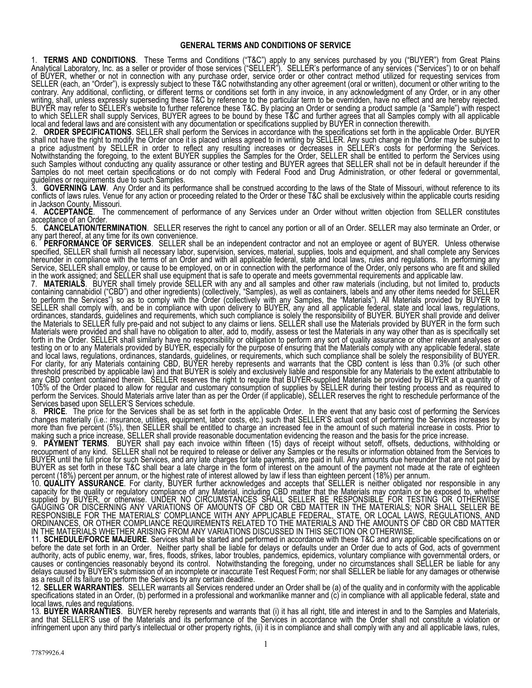## GENERAL TERMS AND CONDITIONS OF SERVICE

1. **TERMS AND CONDITIONS**. These Terms and Conditions ("T&C") apply to any services purchased by you ("BUYER") from Great Plains Analytical Laboratory, Inc. as a seller or provider of those services ("SELLER"). SELLER's performance of any services ("Services") to or on behalf of BUYER, whether or not in connection with any purchase order, service order or other contract method utilized for requesting services from SELLER (each, an "Order"), is expressly subject to these T&C notwithstanding any other agreement (oral or written), document or other writing to the contrary. Any additional, conflicting, or different terms or conditions set forth in any invoice, in any acknowledgment of any Order, or in any other writing, shall, unless expressly superseding these T&C by reference to the particular term to be overridden, have no effect and are hereby rejected. BUYER may refer to SELLER's website to further reference these T&C. By placing an Order or sending a product sample (a "Sample") with respect to which SELLER shall supply Services, BUYER agrees to be bound by these T&C and further agrees that all Samples comply with all applicable local and federal laws and are consistent with any documentation or specifications supplied by BUYER in connection therewith.

2. ORDER SPECIFICATIONS. SELLER shall perform the Services in accordance with the specifications set forth in the applicable Order. BUYER shall not have the right to modify the Order once it is placed unless agreed to in writing by SELLER. Any such change in the Order may be subject to a price adjustment by SELLER in order to reflect any resulting increases or decreases in SELLER's costs for performing the Services. Notwithstanding the foregoing, to the extent BUYER supplies the Samples for the Order, SELLER shall be entitled to perform the Services using such Samples without conducting any quality assurance or other testing and BUYER agrees that SELLER shall not be in default hereunder if the Samples do not meet certain specifications or do not comply with Federal Food and Drug Administration, or other federal or governmental, guidelines or requirements due to such Samples.

3. GOVERNING LAW. Any Order and its performance shall be construed according to the laws of the State of Missouri, without reference to its conflicts of laws rules. Venue for any action or proceeding related to the Order or these T&C shall be exclusively within the applicable courts residing in Jackson County, Missouri.

4. **ACCEPTANCE.** The commencement of performance of any Services under an Order without written objection from SELLER constitutes acceptance of an Order.<br>5 **CANCELATION/TE** 

5. CANCELATION/TERMINATION. SELLER reserves the right to cancel any portion or all of an Order. SELLER may also terminate an Order, or any part thereof, at any time for its own convenience.

6. PERFORMANCE OF SERVICES. SELLER shall be an independent contractor and not an employee or agent of BUYER. Unless otherwise specified, SELLER shall furnish all necessary labor, supervision, services, material, supplies, tools and equipment, and shall complete any Services hereunder in compliance with the terms of an Order and with all applicable federal, state and local laws, rules and regulations. In performing any Service, SELLER shall employ, or cause to be employed, on or in connection with the performance of the Order, only persons who are fit and skilled in the work assigned; and SELLER shall use equipment that is safe to operate and meets governmental requirements and applicable law.

7. MATERIALS. BUYER shall timely provide SELLER with any and all samples and other raw materials (including, but not limited to, products containing cannabidiol ("CBD") and other ingredients) (collectively, "Samples), as well as containers, labels and any other items needed for SELLER to perform the Services") so as to comply with the Order (collectively with any Samples, the "Materials"). All Materials provided by BUYER to SELLER shall comply with, and be in compliance with upon delivery to BUYER, any and all applicable federal, state and local laws, regulations, ordinances, standards, guidelines and requirements, which such compliance is solely the responsibility of BUYER. BUYER shall provide and deliver the Materials to SELLER fully pre-paid and not subject to any claims or liens. SELLER shall use the Materials provided by BUYER in the form such Materials were provided and shall have no obligation to alter, add to, modify, assess or test the Materials in any way other than as is specifically set forth in the Order. SELLER shall similarly have no responsibility or obligation to perform any sort of quality assurance or other relevant analyses or testing on or to any Materials provided by BUYER, especially for the purpose of ensuring that the Materials comply with any applicable federal, state and local laws, regulations, ordinances, standards, guidelines, or requirements, which such compliance shall be solely the responsibility of BUYER. For clarity, for any Materials containing CBD, BUYER hereby represents and warrants that the CBD content is less than 0.3% (or such other threshold prescribed by applicable law) and that BUYER is solely and exclusively liable and responsible for any Materials to the extent attributable to any CBD content contained therein. SELLER reserves the right to require that BUYER-supplied Materials be provided by BUYER at a quantity of 105% of the Order placed to allow for regular and customary consumption of supplies by SELLER during their testing process and as required to perform the Services. Should Materials arrive later than as per the Order (if applicable), SELLER reserves the right to reschedule performance of the Services based upon SELLER'S Services schedule.

8. PRICE. The price for the Services shall be as set forth in the applicable Order. In the event that any basic cost of performing the Services changes materially (i.e.: insurance, utilities, equipment, labor costs, etc.) such that SELLER'S actual cost of performing the Services increases by more than five percent (5%), then SELLER shall be entitled to charge an increased fee in the amount of such material increase in costs. Prior to making such a price increase, SELLER shall provide reasonable documentation evidencing the reason and the basis for the price increase.

9. PAYMENT TERMS. BUYER shall pay each invoice within fifteen (15) days of receipt without setoff, offsets, deductions, withholding or recoupment of any kind. SELLER shall not be required to release or deliver any Samples or the results or information obtained from the Services to BUYER until the full price for such Services, and any late charges for late payments, are paid in full. Any amounts due hereunder that are not paid by BUYER as set forth in these T&C shall bear a late charge in the form of interest on the amount of the payment not made at the rate of eighteen percent (18%) percent per annum, or the highest rate of interest allowed by law if less than eighteen percent (18%) per annum.

10. QUALITY ASSURANCE. For clarity, BUYER further acknowledges and accepts that SELLER is neither obligated nor responsible in any capacity for the quality or regulatory compliance of any Material, including CBD matter that the Materials may contain or be exposed to, whether supplied by BUYER, or otherwise. UNDER NO CIRCUMSTANCES SHALL SELLER BE RESPONSIBLE FOR TESTING OR OTHERWISE GAUGING OR DISCERNING ANY VARIATIONS OF AMOUNTS OF CBD OR CBD MATTER IN THE MATERIALS; NOR SHALL SELLER BE RESPONSIBLE FOR THE MATERIALS' COMPLIANCE WITH ANY APPLICABLE FEDERAL, STATE, OR LOCAL LAWS, REGULATIONS, AND ORDINANCES, OR OTHER COMPLIANCE REQUIREMENTS RELATED TO THE MATERIALS AND THE AMOUNTS OF CBD OR CBD MATTER IN THE MATERIALS WHETHER ARISING FROM ANY VARIATIONS DISCUSSED IN THIS SECTION OR OTHERWISE.

11. SCHEDULE/FORCE MAJEURE. Services shall be started and performed in accordance with these T&C and any applicable specifications on or before the date set forth in an Order. Neither party shall be liable for delays or defaults under an Order due to acts of God, acts of government authority, acts of public enemy, war, fires, floods, strikes, labor troubles, pandemics, epidemics, voluntary compliance with governmental orders, or causes or contingencies reasonably beyond its control. Notwithstanding the foregoing, under no circumstances shall SELLER be liable for any delays caused by BUYER's submission of an incomplete or inaccurate Test Request Form; nor shall SELLER be liable for any damages or otherwise as a result of its failure to perform the Services by any certain deadline.

12. **SELLER WARRANTIES**. SELLER warrants all Services rendered under an Order shall be (a) of the quality and in conformity with the applicable specifications stated in an Order, (b) performed in a professional and workmanlike manner and (c) in compliance with all applicable federal, state and local laws, rules and regulations.

13. BUYER WARRANTIES. BUYER hereby represents and warrants that (i) it has all right, title and interest in and to the Samples and Materials, and that SELLER'S use of the Materials and its performance of the Services in accordance with the Order shall not constitute a violation or infringement upon any third party's intellectual or other property rights, (ii) it is in compliance and shall comply with any and all applicable laws, rules,